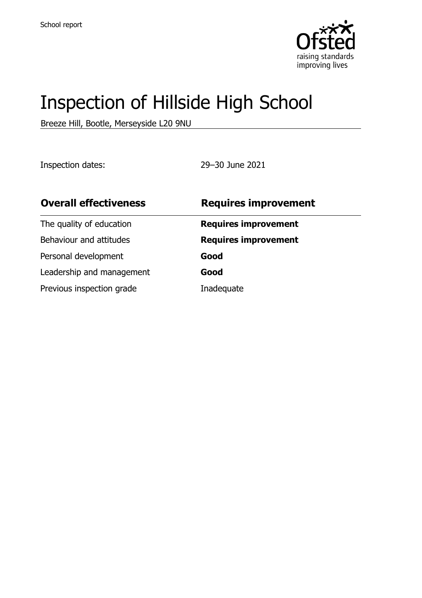

# Inspection of Hillside High School

Breeze Hill, Bootle, Merseyside L20 9NU

Inspection dates: 29–30 June 2021

| <b>Requires improvement</b> |
|-----------------------------|
| <b>Requires improvement</b> |
| <b>Requires improvement</b> |
| Good                        |
| Good                        |
| Inadequate                  |
|                             |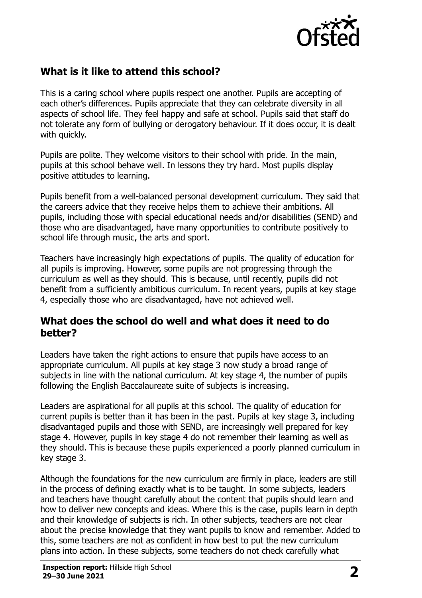

# **What is it like to attend this school?**

This is a caring school where pupils respect one another. Pupils are accepting of each other's differences. Pupils appreciate that they can celebrate diversity in all aspects of school life. They feel happy and safe at school. Pupils said that staff do not tolerate any form of bullying or derogatory behaviour. If it does occur, it is dealt with quickly.

Pupils are polite. They welcome visitors to their school with pride. In the main, pupils at this school behave well. In lessons they try hard. Most pupils display positive attitudes to learning.

Pupils benefit from a well-balanced personal development curriculum. They said that the careers advice that they receive helps them to achieve their ambitions. All pupils, including those with special educational needs and/or disabilities (SEND) and those who are disadvantaged, have many opportunities to contribute positively to school life through music, the arts and sport.

Teachers have increasingly high expectations of pupils. The quality of education for all pupils is improving. However, some pupils are not progressing through the curriculum as well as they should. This is because, until recently, pupils did not benefit from a sufficiently ambitious curriculum. In recent years, pupils at key stage 4, especially those who are disadvantaged, have not achieved well.

#### **What does the school do well and what does it need to do better?**

Leaders have taken the right actions to ensure that pupils have access to an appropriate curriculum. All pupils at key stage 3 now study a broad range of subjects in line with the national curriculum. At key stage 4, the number of pupils following the English Baccalaureate suite of subjects is increasing.

Leaders are aspirational for all pupils at this school. The quality of education for current pupils is better than it has been in the past. Pupils at key stage 3, including disadvantaged pupils and those with SEND, are increasingly well prepared for key stage 4. However, pupils in key stage 4 do not remember their learning as well as they should. This is because these pupils experienced a poorly planned curriculum in key stage 3.

Although the foundations for the new curriculum are firmly in place, leaders are still in the process of defining exactly what is to be taught. In some subjects, leaders and teachers have thought carefully about the content that pupils should learn and how to deliver new concepts and ideas. Where this is the case, pupils learn in depth and their knowledge of subjects is rich. In other subjects, teachers are not clear about the precise knowledge that they want pupils to know and remember. Added to this, some teachers are not as confident in how best to put the new curriculum plans into action. In these subjects, some teachers do not check carefully what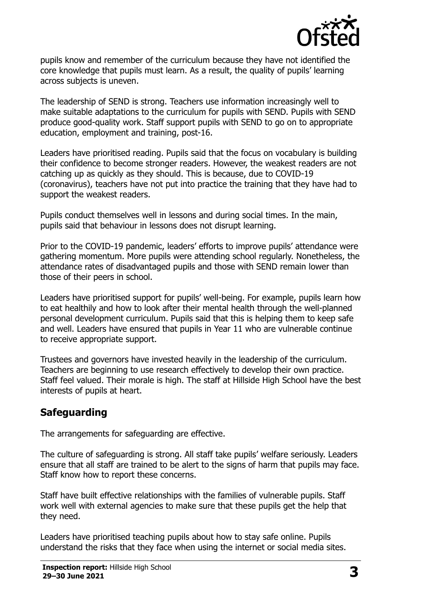

pupils know and remember of the curriculum because they have not identified the core knowledge that pupils must learn. As a result, the quality of pupils' learning across subjects is uneven.

The leadership of SEND is strong. Teachers use information increasingly well to make suitable adaptations to the curriculum for pupils with SEND. Pupils with SEND produce good-quality work. Staff support pupils with SEND to go on to appropriate education, employment and training, post-16.

Leaders have prioritised reading. Pupils said that the focus on vocabulary is building their confidence to become stronger readers. However, the weakest readers are not catching up as quickly as they should. This is because, due to COVID-19 (coronavirus), teachers have not put into practice the training that they have had to support the weakest readers.

Pupils conduct themselves well in lessons and during social times. In the main, pupils said that behaviour in lessons does not disrupt learning.

Prior to the COVID-19 pandemic, leaders' efforts to improve pupils' attendance were gathering momentum. More pupils were attending school regularly. Nonetheless, the attendance rates of disadvantaged pupils and those with SEND remain lower than those of their peers in school.

Leaders have prioritised support for pupils' well-being. For example, pupils learn how to eat healthily and how to look after their mental health through the well-planned personal development curriculum. Pupils said that this is helping them to keep safe and well. Leaders have ensured that pupils in Year 11 who are vulnerable continue to receive appropriate support.

Trustees and governors have invested heavily in the leadership of the curriculum. Teachers are beginning to use research effectively to develop their own practice. Staff feel valued. Their morale is high. The staff at Hillside High School have the best interests of pupils at heart.

# **Safeguarding**

The arrangements for safeguarding are effective.

The culture of safeguarding is strong. All staff take pupils' welfare seriously. Leaders ensure that all staff are trained to be alert to the signs of harm that pupils may face. Staff know how to report these concerns.

Staff have built effective relationships with the families of vulnerable pupils. Staff work well with external agencies to make sure that these pupils get the help that they need.

Leaders have prioritised teaching pupils about how to stay safe online. Pupils understand the risks that they face when using the internet or social media sites.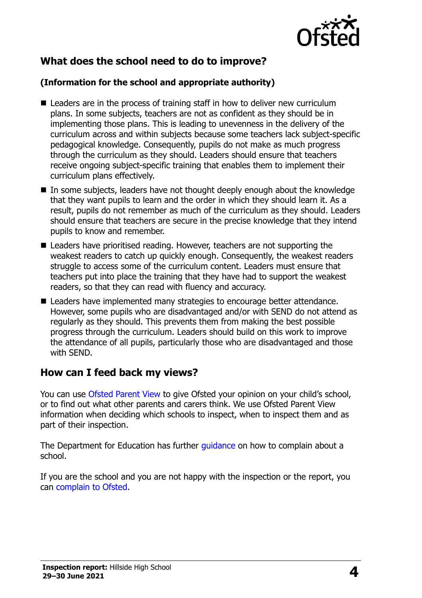

# **What does the school need to do to improve?**

#### **(Information for the school and appropriate authority)**

- Leaders are in the process of training staff in how to deliver new curriculum plans. In some subjects, teachers are not as confident as they should be in implementing those plans. This is leading to unevenness in the delivery of the curriculum across and within subjects because some teachers lack subject-specific pedagogical knowledge. Consequently, pupils do not make as much progress through the curriculum as they should. Leaders should ensure that teachers receive ongoing subject-specific training that enables them to implement their curriculum plans effectively.
- In some subjects, leaders have not thought deeply enough about the knowledge that they want pupils to learn and the order in which they should learn it. As a result, pupils do not remember as much of the curriculum as they should. Leaders should ensure that teachers are secure in the precise knowledge that they intend pupils to know and remember.
- Leaders have prioritised reading. However, teachers are not supporting the weakest readers to catch up quickly enough. Consequently, the weakest readers struggle to access some of the curriculum content. Leaders must ensure that teachers put into place the training that they have had to support the weakest readers, so that they can read with fluency and accuracy.
- Leaders have implemented many strategies to encourage better attendance. However, some pupils who are disadvantaged and/or with SEND do not attend as regularly as they should. This prevents them from making the best possible progress through the curriculum. Leaders should build on this work to improve the attendance of all pupils, particularly those who are disadvantaged and those with SEND.

### **How can I feed back my views?**

You can use [Ofsted Parent View](http://parentview.ofsted.gov.uk/) to give Ofsted your opinion on your child's school, or to find out what other parents and carers think. We use Ofsted Parent View information when deciding which schools to inspect, when to inspect them and as part of their inspection.

The Department for Education has further [guidance](http://www.gov.uk/complain-about-school) on how to complain about a school.

If you are the school and you are not happy with the inspection or the report, you can [complain to Ofsted.](http://www.gov.uk/complain-ofsted-report)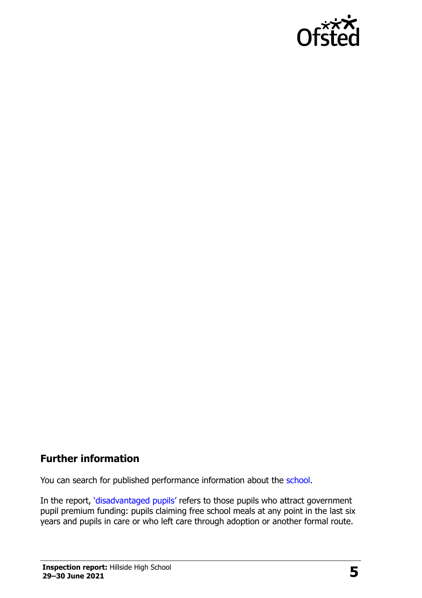

### **Further information**

You can search for published performance information about the [school.](http://www.compare-school-performance.service.gov.uk/)

In the report, '[disadvantaged pupils](http://www.gov.uk/guidance/pupil-premium-information-for-schools-and-alternative-provision-settings)' refers to those pupils who attract government pupil premium funding: pupils claiming free school meals at any point in the last six years and pupils in care or who left care through adoption or another formal route.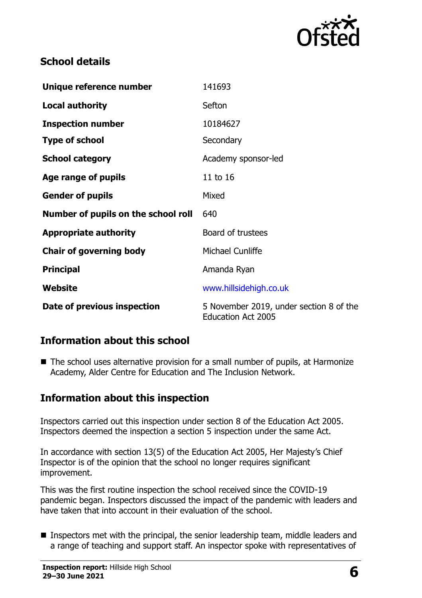

## **School details**

| Unique reference number             | 141693                                                               |
|-------------------------------------|----------------------------------------------------------------------|
| <b>Local authority</b>              | Sefton                                                               |
| <b>Inspection number</b>            | 10184627                                                             |
| <b>Type of school</b>               | Secondary                                                            |
| <b>School category</b>              | Academy sponsor-led                                                  |
| Age range of pupils                 | 11 to 16                                                             |
| <b>Gender of pupils</b>             | Mixed                                                                |
| Number of pupils on the school roll | 640                                                                  |
| <b>Appropriate authority</b>        | Board of trustees                                                    |
| <b>Chair of governing body</b>      | <b>Michael Cunliffe</b>                                              |
| <b>Principal</b>                    | Amanda Ryan                                                          |
| Website                             | www.hillsidehigh.co.uk                                               |
| Date of previous inspection         | 5 November 2019, under section 8 of the<br><b>Education Act 2005</b> |

### **Information about this school**

■ The school uses alternative provision for a small number of pupils, at Harmonize Academy, Alder Centre for Education and The Inclusion Network.

# **Information about this inspection**

Inspectors carried out this inspection under section 8 of the Education Act 2005. Inspectors deemed the inspection a section 5 inspection under the same Act.

In accordance with section 13(5) of the Education Act 2005, Her Majesty's Chief Inspector is of the opinion that the school no longer requires significant improvement.

This was the first routine inspection the school received since the COVID-19 pandemic began. Inspectors discussed the impact of the pandemic with leaders and have taken that into account in their evaluation of the school.

■ Inspectors met with the principal, the senior leadership team, middle leaders and a range of teaching and support staff. An inspector spoke with representatives of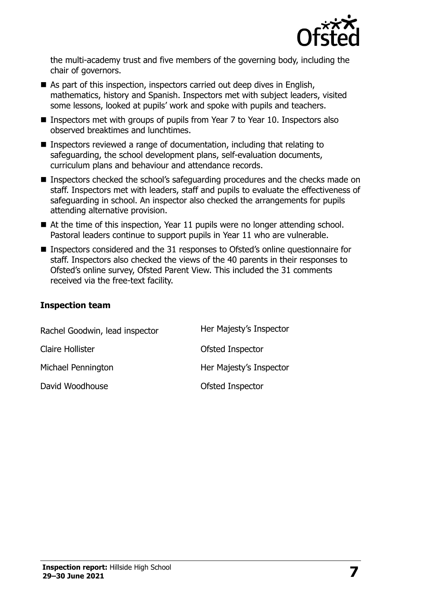

the multi-academy trust and five members of the governing body, including the chair of governors.

- As part of this inspection, inspectors carried out deep dives in English, mathematics, history and Spanish. Inspectors met with subject leaders, visited some lessons, looked at pupils' work and spoke with pupils and teachers.
- Inspectors met with groups of pupils from Year 7 to Year 10. Inspectors also observed breaktimes and lunchtimes.
- Inspectors reviewed a range of documentation, including that relating to safeguarding, the school development plans, self-evaluation documents, curriculum plans and behaviour and attendance records.
- **Inspectors checked the school's safeguarding procedures and the checks made on** staff. Inspectors met with leaders, staff and pupils to evaluate the effectiveness of safeguarding in school. An inspector also checked the arrangements for pupils attending alternative provision.
- At the time of this inspection, Year 11 pupils were no longer attending school. Pastoral leaders continue to support pupils in Year 11 who are vulnerable.
- Inspectors considered and the 31 responses to Ofsted's online questionnaire for staff. Inspectors also checked the views of the 40 parents in their responses to Ofsted's online survey, Ofsted Parent View. This included the 31 comments received via the free-text facility.

#### **Inspection team**

| Rachel Goodwin, lead inspector | Her Majesty's Inspector |
|--------------------------------|-------------------------|
| <b>Claire Hollister</b>        | Ofsted Inspector        |
| Michael Pennington             | Her Majesty's Inspector |
| David Woodhouse                | Ofsted Inspector        |